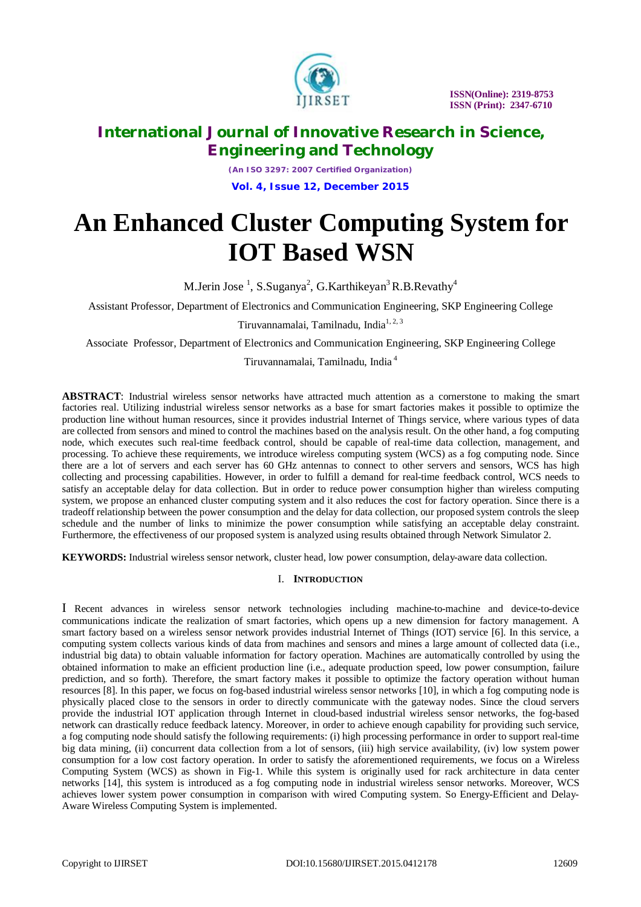

*(An ISO 3297: 2007 Certified Organization)* **Vol. 4, Issue 12, December 2015**

# **An Enhanced Cluster Computing System for IOT Based WSN**

M.Jerin Jose  $^1$ , S.Suganya $^2$ , G.Karthikeyan $^3$ R.B.Revathy $^4$ 

Assistant Professor, Department of Electronics and Communication Engineering, SKP Engineering College

Tiruvannamalai, Tamilnadu, India<sup>1, 2, 3</sup>

Associate Professor, Department of Electronics and Communication Engineering, SKP Engineering College

Tiruvannamalai, Tamilnadu, India <sup>4</sup>

**ABSTRACT**: Industrial wireless sensor networks have attracted much attention as a cornerstone to making the smart factories real. Utilizing industrial wireless sensor networks as a base for smart factories makes it possible to optimize the production line without human resources, since it provides industrial Internet of Things service, where various types of data are collected from sensors and mined to control the machines based on the analysis result. On the other hand, a fog computing node, which executes such real-time feedback control, should be capable of real-time data collection, management, and processing. To achieve these requirements, we introduce wireless computing system (WCS) as a fog computing node. Since there are a lot of servers and each server has 60 GHz antennas to connect to other servers and sensors, WCS has high collecting and processing capabilities. However, in order to fulfill a demand for real-time feedback control, WCS needs to satisfy an acceptable delay for data collection. But in order to reduce power consumption higher than wireless computing system, we propose an enhanced cluster computing system and it also reduces the cost for factory operation. Since there is a tradeoff relationship between the power consumption and the delay for data collection, our proposed system controls the sleep schedule and the number of links to minimize the power consumption while satisfying an acceptable delay constraint. Furthermore, the effectiveness of our proposed system is analyzed using results obtained through Network Simulator 2.

**KEYWORDS:** Industrial wireless sensor network, cluster head, low power consumption, delay-aware data collection.

# I. **INTRODUCTION**

I Recent advances in wireless sensor network technologies including machine-to-machine and device-to-device communications indicate the realization of smart factories, which opens up a new dimension for factory management. A smart factory based on a wireless sensor network provides industrial Internet of Things (IOT) service [6]. In this service, a computing system collects various kinds of data from machines and sensors and mines a large amount of collected data (i.e., industrial big data) to obtain valuable information for factory operation. Machines are automatically controlled by using the obtained information to make an efficient production line (i.e., adequate production speed, low power consumption, failure prediction, and so forth). Therefore, the smart factory makes it possible to optimize the factory operation without human resources [8]. In this paper, we focus on fog-based industrial wireless sensor networks [10], in which a fog computing node is physically placed close to the sensors in order to directly communicate with the gateway nodes. Since the cloud servers provide the industrial IOT application through Internet in cloud-based industrial wireless sensor networks, the fog-based network can drastically reduce feedback latency. Moreover, in order to achieve enough capability for providing such service, a fog computing node should satisfy the following requirements: (i) high processing performance in order to support real-time big data mining, (ii) concurrent data collection from a lot of sensors, (iii) high service availability, (iv) low system power consumption for a low cost factory operation. In order to satisfy the aforementioned requirements, we focus on a Wireless Computing System (WCS) as shown in Fig-1. While this system is originally used for rack architecture in data center networks [14], this system is introduced as a fog computing node in industrial wireless sensor networks. Moreover, WCS achieves lower system power consumption in comparison with wired Computing system. So Energy-Efficient and Delay-Aware Wireless Computing System is implemented.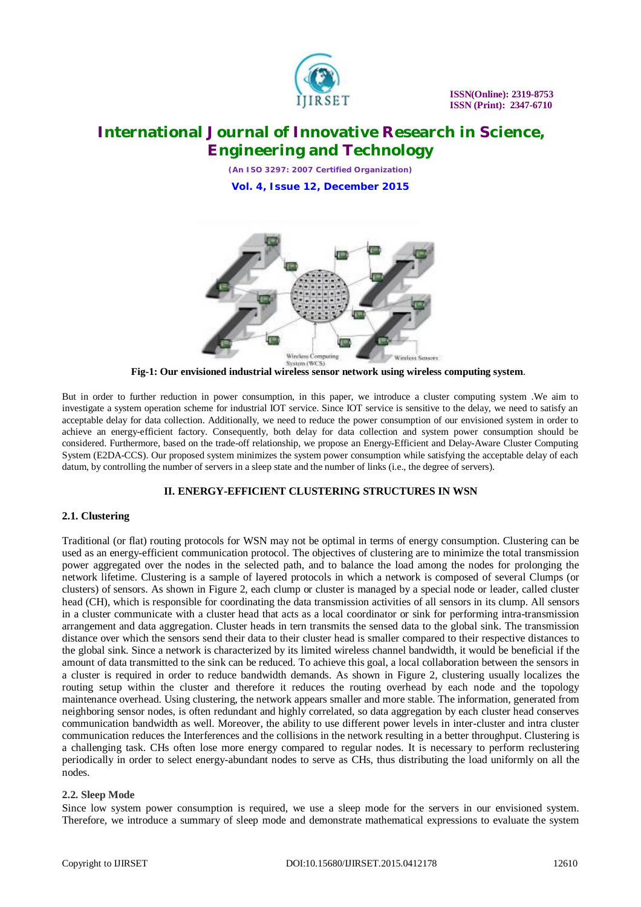

*(An ISO 3297: 2007 Certified Organization)* **Vol. 4, Issue 12, December 2015**



 **Fig-1: Our envisioned industrial wireless sensor network using wireless computing system**.

But in order to further reduction in power consumption, in this paper, we introduce a cluster computing system .We aim to investigate a system operation scheme for industrial IOT service. Since IOT service is sensitive to the delay, we need to satisfy an acceptable delay for data collection. Additionally, we need to reduce the power consumption of our envisioned system in order to achieve an energy-efficient factory. Consequently, both delay for data collection and system power consumption should be considered. Furthermore, based on the trade-off relationship, we propose an Energy-Efficient and Delay-Aware Cluster Computing System (E2DA-CCS). Our proposed system minimizes the system power consumption while satisfying the acceptable delay of each datum, by controlling the number of servers in a sleep state and the number of links (i.e., the degree of servers).

# **II. ENERGY-EFFICIENT CLUSTERING STRUCTURES IN WSN**

# **2.1. Clustering**

Traditional (or flat) routing protocols for WSN may not be optimal in terms of energy consumption. Clustering can be used as an energy-efficient communication protocol. The objectives of clustering are to minimize the total transmission power aggregated over the nodes in the selected path, and to balance the load among the nodes for prolonging the network lifetime. Clustering is a sample of layered protocols in which a network is composed of several Clumps (or clusters) of sensors. As shown in Figure 2, each clump or cluster is managed by a special node or leader, called cluster head (CH), which is responsible for coordinating the data transmission activities of all sensors in its clump. All sensors in a cluster communicate with a cluster head that acts as a local coordinator or sink for performing intra-transmission arrangement and data aggregation. Cluster heads in tern transmits the sensed data to the global sink. The transmission distance over which the sensors send their data to their cluster head is smaller compared to their respective distances to the global sink. Since a network is characterized by its limited wireless channel bandwidth, it would be beneficial if the amount of data transmitted to the sink can be reduced. To achieve this goal, a local collaboration between the sensors in a cluster is required in order to reduce bandwidth demands. As shown in Figure 2, clustering usually localizes the routing setup within the cluster and therefore it reduces the routing overhead by each node and the topology maintenance overhead. Using clustering, the network appears smaller and more stable. The information, generated from neighboring sensor nodes, is often redundant and highly correlated, so data aggregation by each cluster head conserves communication bandwidth as well. Moreover, the ability to use different power levels in inter-cluster and intra cluster communication reduces the Interferences and the collisions in the network resulting in a better throughput. Clustering is a challenging task. CHs often lose more energy compared to regular nodes. It is necessary to perform reclustering periodically in order to select energy-abundant nodes to serve as CHs, thus distributing the load uniformly on all the nodes.

# **2.2. Sleep Mode**

Since low system power consumption is required, we use a sleep mode for the servers in our envisioned system. Therefore, we introduce a summary of sleep mode and demonstrate mathematical expressions to evaluate the system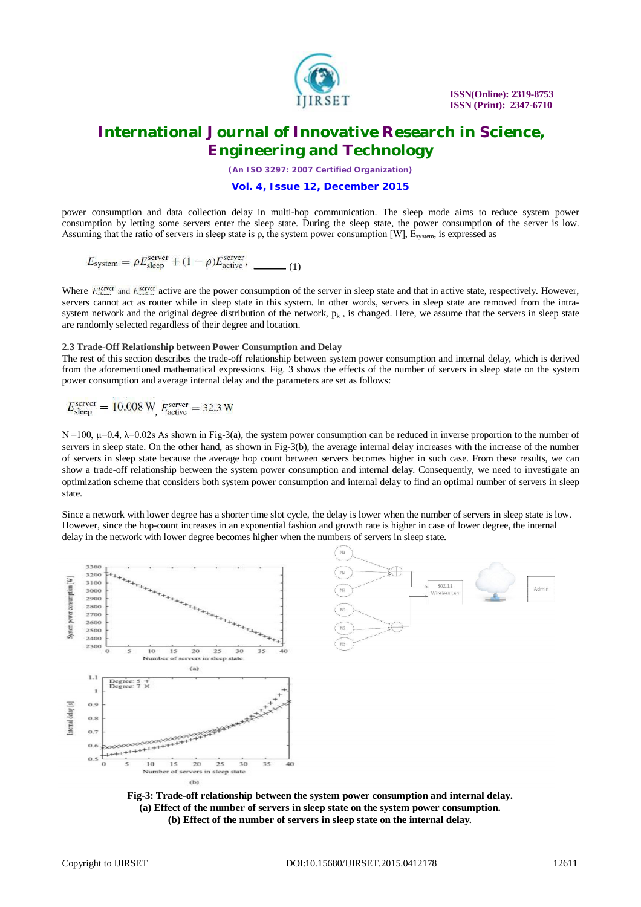

*(An ISO 3297: 2007 Certified Organization)*

**Vol. 4, Issue 12, December 2015**

power consumption and data collection delay in multi-hop communication. The sleep mode aims to reduce system power consumption by letting some servers enter the sleep state. During the sleep state, the power consumption of the server is low. Assuming that the ratio of servers in sleep state is  $\rho$ , the system power consumption [W], E<sub>system</sub>, is expressed as

$$
E_{\text{system}} = \rho E_{\text{sleep}}^{\text{server}} + (1 - \rho) E_{\text{active}}^{\text{server}}, \quad \underline{\qquad (1)}
$$

Where  $E_{\text{layer}}^{\text{server}}$  and  $E_{\text{server}}^{\text{server}}$  active are the power consumption of the server in sleep state and that in active state, respectively. However, servers cannot act as router while in sleep state in this system. In other words, servers in sleep state are removed from the intrasystem network and the original degree distribution of the network,  $p_k$ , is changed. Here, we assume that the servers in sleep state are randomly selected regardless of their degree and location.

#### **2.3 Trade-Off Relationship between Power Consumption and Delay**

The rest of this section describes the trade-off relationship between system power consumption and internal delay, which is derived from the aforementioned mathematical expressions. Fig. 3 shows the effects of the number of servers in sleep state on the system power consumption and average internal delay and the parameters are set as follows:

$$
E_{\text{sleep}}^{\text{server}} = 10.008 \text{ W}, E_{\text{active}}^{\text{server}} = 32.3 \text{ W}
$$

 $N=100$ ,  $\mu=0.4$ ,  $\lambda=0.02$  As shown in Fig-3(a), the system power consumption can be reduced in inverse proportion to the number of servers in sleep state. On the other hand, as shown in Fig-3(b), the average internal delay increases with the increase of the number of servers in sleep state because the average hop count between servers becomes higher in such case. From these results, we can show a trade-off relationship between the system power consumption and internal delay. Consequently, we need to investigate an optimization scheme that considers both system power consumption and internal delay to find an optimal number of servers in sleep state.

Since a network with lower degree has a shorter time slot cycle, the delay is lower when the number of servers in sleep state is low. However, since the hop-count increases in an exponential fashion and growth rate is higher in case of lower degree, the internal delay in the network with lower degree becomes higher when the numbers of servers in sleep state.



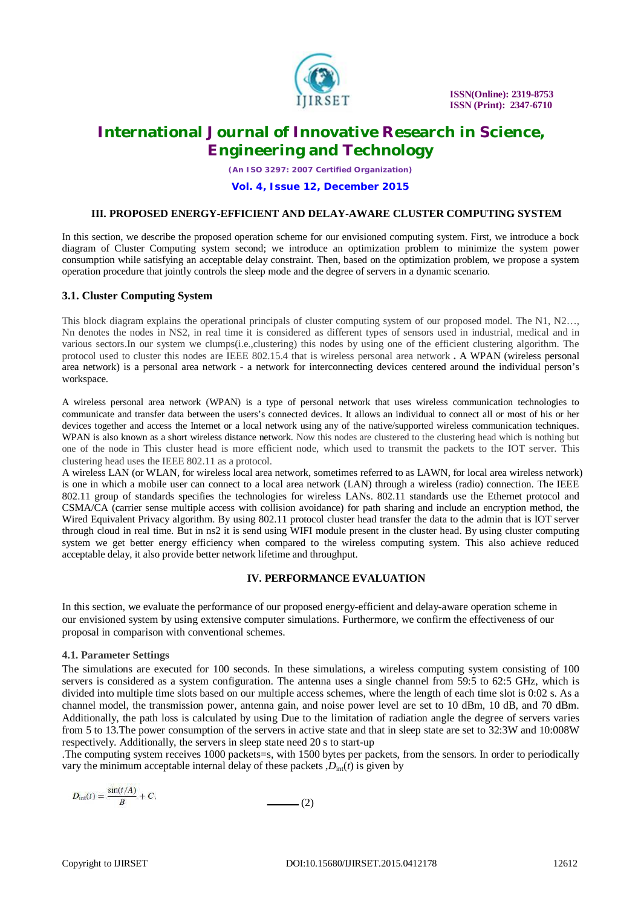

*(An ISO 3297: 2007 Certified Organization)*

#### **Vol. 4, Issue 12, December 2015**

#### **III. PROPOSED ENERGY-EFFICIENT AND DELAY-AWARE CLUSTER COMPUTING SYSTEM**

In this section, we describe the proposed operation scheme for our envisioned computing system. First, we introduce a bock diagram of Cluster Computing system second; we introduce an optimization problem to minimize the system power consumption while satisfying an acceptable delay constraint. Then, based on the optimization problem, we propose a system operation procedure that jointly controls the sleep mode and the degree of servers in a dynamic scenario.

### **3.1. Cluster Computing System**

This block diagram explains the operational principals of cluster computing system of our proposed model. The N1, N2…, Nn denotes the nodes in NS2, in real time it is considered as different types of sensors used in industrial, medical and in various sectors.In our system we clumps(i.e.,clustering) this nodes by using one of the efficient clustering algorithm. The protocol used to cluster this nodes are IEEE 802.15.4 that is wireless personal area network **.** A WPAN (wireless personal area network) is a personal area network - a network for interconnecting devices centered around the individual person's workspace.

A wireless personal area network (WPAN) is a type of personal network that uses wireless communication technologies to communicate and transfer data between the users's connected devices. It allows an individual to connect all or most of his or her devices together and access the Internet or a local network using any of the native/supported wireless communication techniques. WPAN is also known as a short wireless distance network. Now this nodes are clustered to the clustering head which is nothing but one of the node in This cluster head is more efficient node, which used to transmit the packets to the IOT server. This clustering head uses the IEEE 802.11 as a protocol.

A wireless LAN (or WLAN, for wireless local area network, sometimes referred to as LAWN, for local area wireless network) is one in which a mobile user can connect to a local area network (LAN) through a wireless (radio) connection. The IEEE 802.11 group of standards specifies the technologies for wireless LANs. 802.11 standards use the Ethernet protocol and CSMA/CA (carrier sense multiple access with collision avoidance) for path sharing and include an encryption method, the Wired Equivalent Privacy algorithm. By using 802.11 protocol cluster head transfer the data to the admin that is IOT server through cloud in real time. But in ns2 it is send using WIFI module present in the cluster head. By using cluster computing system we get better energy efficiency when compared to the wireless computing system. This also achieve reduced acceptable delay, it also provide better network lifetime and throughput.

### **IV. PERFORMANCE EVALUATION**

In this section, we evaluate the performance of our proposed energy-efficient and delay-aware operation scheme in our envisioned system by using extensive computer simulations. Furthermore, we confirm the effectiveness of our proposal in comparison with conventional schemes.

### **4.1. Parameter Settings**

The simulations are executed for 100 seconds. In these simulations, a wireless computing system consisting of 100 servers is considered as a system configuration. The antenna uses a single channel from 59:5 to 62:5 GHz, which is divided into multiple time slots based on our multiple access schemes, where the length of each time slot is 0:02 s. As a channel model, the transmission power, antenna gain, and noise power level are set to 10 dBm, 10 dB, and 70 dBm. Additionally, the path loss is calculated by using Due to the limitation of radiation angle the degree of servers varies from 5 to 13.The power consumption of the servers in active state and that in sleep state are set to 32:3W and 10:008W respectively. Additionally, the servers in sleep state need 20 s to start-up

.The computing system receives 1000 packets=s, with 1500 bytes per packets, from the sensors. In order to periodically vary the minimum acceptable internal delay of these packets  $D<sub>int</sub>(t)$  is given by

$$
D_{\text{int}}(t) = \frac{\sin(t/A)}{B} + C,\tag{2}
$$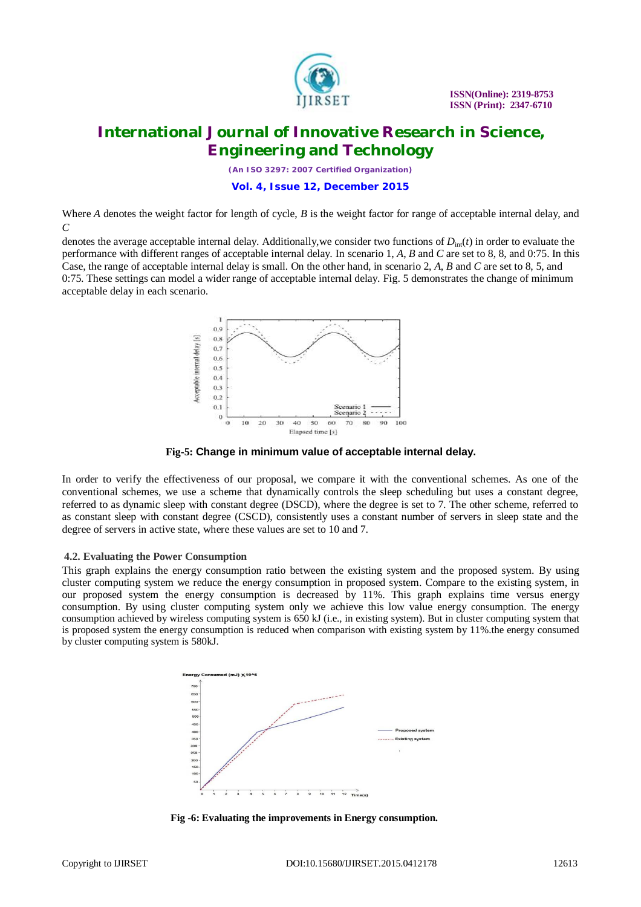

*(An ISO 3297: 2007 Certified Organization)*

**Vol. 4, Issue 12, December 2015**

Where *A* denotes the weight factor for length of cycle, *B* is the weight factor for range of acceptable internal delay, and *C*

denotes the average acceptable internal delay. Additionally,we consider two functions of *D*int(*t*) in order to evaluate the performance with different ranges of acceptable internal delay. In scenario 1, *A*, *B* and *C* are set to 8, 8, and 0:75. In this Case, the range of acceptable internal delay is small. On the other hand, in scenario 2, *A*, *B* and *C* are set to 8, 5, and 0:75. These settings can model a wider range of acceptable internal delay. Fig. 5 demonstrates the change of minimum acceptable delay in each scenario.



**Fig-5: Change in minimum value of acceptable internal delay.**

In order to verify the effectiveness of our proposal, we compare it with the conventional schemes. As one of the conventional schemes, we use a scheme that dynamically controls the sleep scheduling but uses a constant degree, referred to as dynamic sleep with constant degree (DSCD), where the degree is set to 7. The other scheme, referred to as constant sleep with constant degree (CSCD), consistently uses a constant number of servers in sleep state and the degree of servers in active state, where these values are set to 10 and 7.

# **4.2. Evaluating the Power Consumption**

This graph explains the energy consumption ratio between the existing system and the proposed system. By using cluster computing system we reduce the energy consumption in proposed system. Compare to the existing system, in our proposed system the energy consumption is decreased by 11%. This graph explains time versus energy consumption. By using cluster computing system only we achieve this low value energy consumption. The energy consumption achieved by wireless computing system is 650 kJ (i.e., in existing system). But in cluster computing system that is proposed system the energy consumption is reduced when comparison with existing system by 11%.the energy consumed by cluster computing system is 580kJ.



**Fig -6: Evaluating the improvements in Energy consumption.**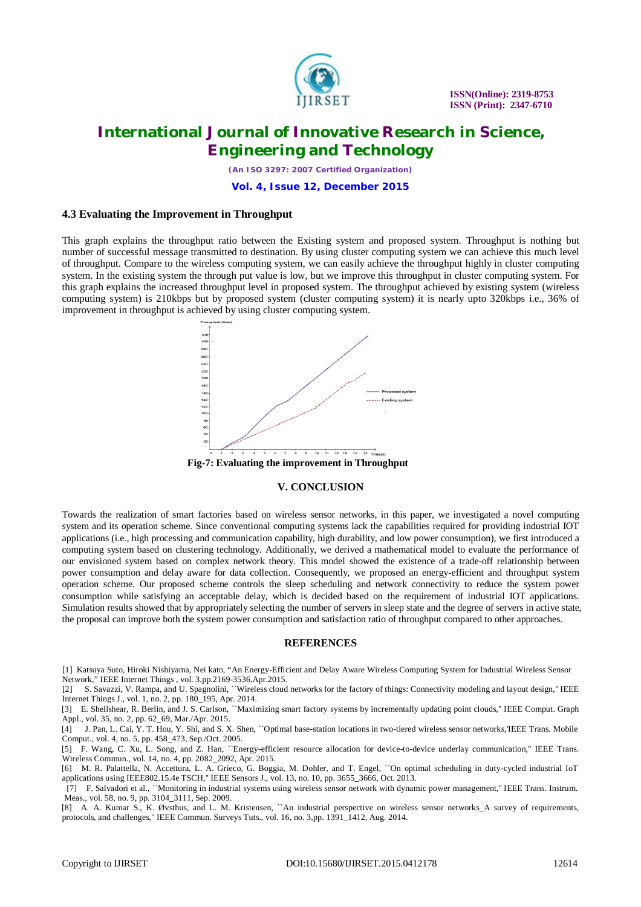

*(An ISO 3297: 2007 Certified Organization)*

**Vol. 4, Issue 12, December 2015**

### **4.3 Evaluating the Improvement in Throughput**

This graph explains the throughput ratio between the Existing system and proposed system. Throughput is nothing but number of successful message transmitted to destination. By using cluster computing system we can achieve this much level of throughput. Compare to the wireless computing system, we can easily achieve the throughput highly in cluster computing system. In the existing system the through put value is low, but we improve this throughput in cluster computing system. For this graph explains the increased throughput level in proposed system. The throughput achieved by existing system (wireless computing system) is 210kbps but by proposed system (cluster computing system) it is nearly upto 320kbps i.e., 36% of improvement in throughput is achieved by using cluster computing system.



**Fig-7: Evaluating the improvement in Throughput**

### **V. CONCLUSION**

Towards the realization of smart factories based on wireless sensor networks, in this paper, we investigated a novel computing system and its operation scheme. Since conventional computing systems lack the capabilities required for providing industrial IOT applications (i.e., high processing and communication capability, high durability, and low power consumption), we first introduced a computing system based on clustering technology. Additionally, we derived a mathematical model to evaluate the performance of our envisioned system based on complex network theory. This model showed the existence of a trade-off relationship between power consumption and delay aware for data collection. Consequently, we proposed an energy-efficient and throughput system operation scheme. Our proposed scheme controls the sleep scheduling and network connectivity to reduce the system power consumption while satisfying an acceptable delay, which is decided based on the requirement of industrial IOT applications. Simulation results showed that by appropriately selecting the number of servers in sleep state and the degree of servers in active state, the proposal can improve both the system power consumption and satisfaction ratio of throughput compared to other approaches.

### **REFERENCES**

[1] Katsuya Suto, Hiroki Nishiyama, Nei kato, "An Energy-Efficient and Delay Aware Wireless Computing System for Industrial Wireless Sensor Network," IEEE Internet Things , vol. 3,pp.2169-3536,Apr.2015.

[2] S. Savazzi, V. Rampa, and U. Spagnolini, ``Wireless cloud networks for the factory of things: Connectivity modeling and layout design,'' IEEE Internet Things J., vol. 1, no. 2, pp. 180\_195, Apr. 2014.

[3] E. Shellshear, R. Berlin, and J. S. Carlson, "Maximizing smart factory systems by incrementally updating point clouds," IEEE Comput. Graph Appl., vol. 35, no. 2, pp. 62\_69, Mar./Apr. 2015.

[4] J. Pan, L. Cai, Y. T. Hou, Y. Shi, and S. X. Shen, ``Optimal base-station locations in two-tiered wireless sensor networks,'IEEE Trans. Mobile Comput., vol. 4, no. 5, pp. 458\_473, Sep./Oct. 2005.

[5] F. Wang, C. Xu, L. Song, and Z. Han, ``Energy-efficient resource allocation for device-to-device underlay communication,'' IEEE Trans. Wireless Commun., vol. 14, no. 4, pp. 2082\_2092, Apr. 2015.

[6] M. R. Palattella, N. Accettura, L. A. Grieco, G. Boggia, M. Dohler, and T. Engel, ``On optimal scheduling in duty-cycled industrial IoT applications using IEEE802.15.4e TSCH,'' IEEE Sensors J., vol. 13, no. 10, pp. 3655\_3666, Oct. 2013.

[7] F. Salvadori et al., ``Monitoring in industrial systems using wireless sensor network with dynamic power management,'' IEEE Trans. Instrum. Meas., vol. 58, no. 9, pp. 3104\_3111, Sep. 2009.

[8] A. A. Kumar S., K. Øvsthus, and L. M. Kristensen, ``An industrial perspective on wireless sensor networks\_A survey of requirements, protocols, and challenges,'' IEEE Commun. Surveys Tuts., vol. 16, no. 3,pp. 1391\_1412, Aug. 2014.